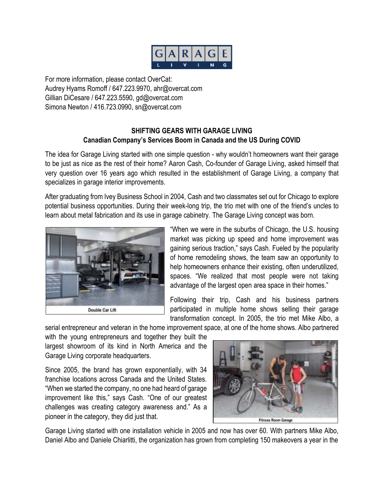

For more information, please contact OverCat: Audrey Hyams Romoff / 647.223.9970, ahr@overcat.com Gillian DiCesare / 647.223.5590, gd@overcat.com Simona Newton / 416.723.0990, sn@overcat.com

## **SHIFTING GEARS WITH GARAGE LIVING Canadian Company's Services Boom in Canada and the US During COVID**

The idea for Garage Living started with one simple question - why wouldn't homeowners want their garage to be just as nice as the rest of their home? Aaron Cash, Co-founder of Garage Living, asked himself that very question over 16 years ago which resulted in the establishment of Garage Living, a company that specializes in garage interior improvements.

After graduating from Ivey Business School in 2004, Cash and two classmates set out for Chicago to explore potential business opportunities. During their week-long trip, the trio met with one of the friend's uncles to learn about metal fabrication and its use in garage cabinetry. The Garage Living concept was born.



"When we were in the suburbs of Chicago, the U.S. housing market was picking up speed and home improvement was gaining serious traction," says Cash. Fueled by the popularity of home remodeling shows, the team saw an opportunity to help homeowners enhance their existing, often underutilized, spaces. "We realized that most people were not taking advantage of the largest open area space in their homes."

Following their trip, Cash and his business partners participated in multiple home shows selling their garage transformation concept. In 2005, the trio met Mike Albo, a

serial entrepreneur and veteran in the home improvement space, at one of the home shows. Albo partnered

with the young entrepreneurs and together they built the largest showroom of its kind in North America and the Garage Living corporate headquarters.

Since 2005, the brand has grown exponentially, with 34 franchise locations across Canada and the United States. "When we started the company, no one had heard of garage improvement like this," says Cash. "One of our greatest challenges was creating category awareness and." As a pioneer in the category, they did just that.



Garage Living started with one installation vehicle in 2005 and now has over 60. With partners Mike Albo, Daniel Albo and Daniele Chiarlitti, the organization has grown from completing 150 makeovers a year in the